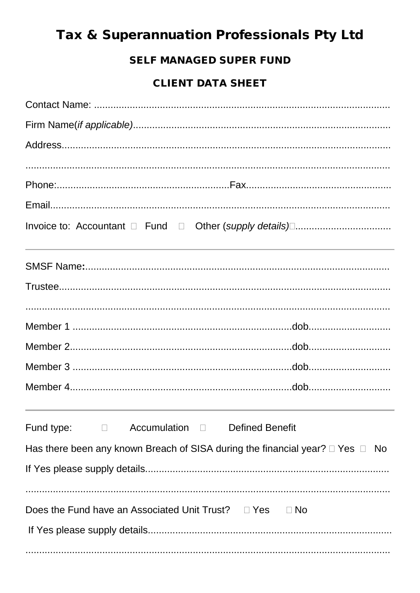# Tax & Superannuation Professionals Pty Ltd

## **SELF MANAGED SUPER FUND**

## **CLIENT DATA SHEET**

| Fund type: $\Box$ Accumulation $\Box$ Defined Benefit                                   |  |  |
|-----------------------------------------------------------------------------------------|--|--|
| Has there been any known Breach of SISA during the financial year? $\Box$ Yes $\Box$ No |  |  |
|                                                                                         |  |  |
| Does the Fund have an Associated Unit Trust? $\Box$ Yes $\Box$ No                       |  |  |
|                                                                                         |  |  |